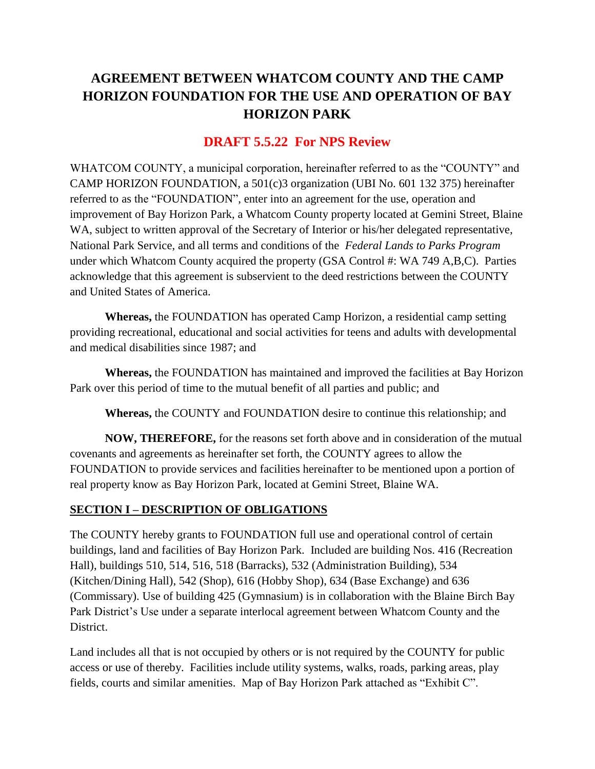# **AGREEMENT BETWEEN WHATCOM COUNTY AND THE CAMP HORIZON FOUNDATION FOR THE USE AND OPERATION OF BAY HORIZON PARK**

# **DRAFT 5.5.22 For NPS Review**

WHATCOM COUNTY, a municipal corporation, hereinafter referred to as the "COUNTY" and CAMP HORIZON FOUNDATION, a 501(c)3 organization (UBI No. 601 132 375) hereinafter referred to as the "FOUNDATION", enter into an agreement for the use, operation and improvement of Bay Horizon Park, a Whatcom County property located at Gemini Street, Blaine WA, subject to written approval of the Secretary of Interior or his/her delegated representative, National Park Service, and all terms and conditions of the *Federal Lands to Parks Program* under which Whatcom County acquired the property (GSA Control #: WA 749 A,B,C). Parties acknowledge that this agreement is subservient to the deed restrictions between the COUNTY and United States of America.

**Whereas,** the FOUNDATION has operated Camp Horizon, a residential camp setting providing recreational, educational and social activities for teens and adults with developmental and medical disabilities since 1987; and

**Whereas,** the FOUNDATION has maintained and improved the facilities at Bay Horizon Park over this period of time to the mutual benefit of all parties and public; and

**Whereas,** the COUNTY and FOUNDATION desire to continue this relationship; and

**NOW, THEREFORE,** for the reasons set forth above and in consideration of the mutual covenants and agreements as hereinafter set forth, the COUNTY agrees to allow the FOUNDATION to provide services and facilities hereinafter to be mentioned upon a portion of real property know as Bay Horizon Park, located at Gemini Street, Blaine WA.

### **SECTION I – DESCRIPTION OF OBLIGATIONS**

The COUNTY hereby grants to FOUNDATION full use and operational control of certain buildings, land and facilities of Bay Horizon Park. Included are building Nos. 416 (Recreation Hall), buildings 510, 514, 516, 518 (Barracks), 532 (Administration Building), 534 (Kitchen/Dining Hall), 542 (Shop), 616 (Hobby Shop), 634 (Base Exchange) and 636 (Commissary). Use of building 425 (Gymnasium) is in collaboration with the Blaine Birch Bay Park District's Use under a separate interlocal agreement between Whatcom County and the District.

Land includes all that is not occupied by others or is not required by the COUNTY for public access or use of thereby. Facilities include utility systems, walks, roads, parking areas, play fields, courts and similar amenities. Map of Bay Horizon Park attached as "Exhibit C".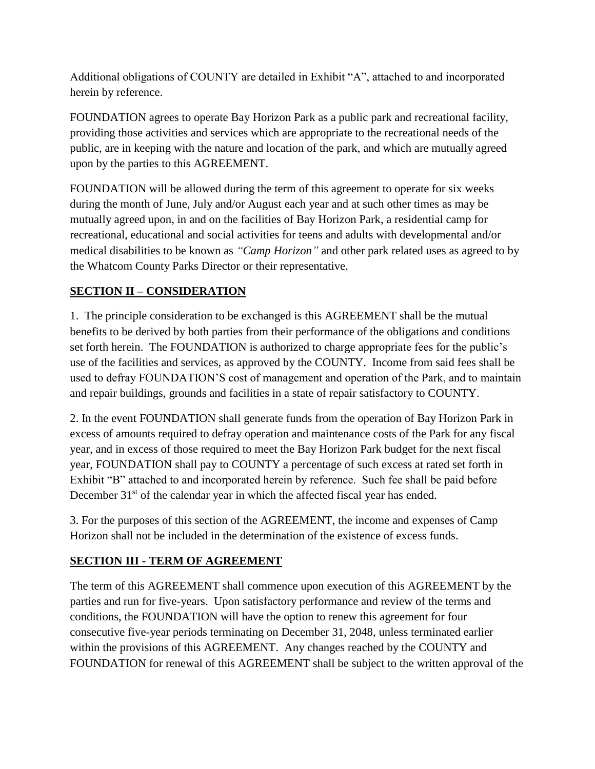Additional obligations of COUNTY are detailed in Exhibit "A", attached to and incorporated herein by reference.

FOUNDATION agrees to operate Bay Horizon Park as a public park and recreational facility, providing those activities and services which are appropriate to the recreational needs of the public, are in keeping with the nature and location of the park, and which are mutually agreed upon by the parties to this AGREEMENT.

FOUNDATION will be allowed during the term of this agreement to operate for six weeks during the month of June, July and/or August each year and at such other times as may be mutually agreed upon, in and on the facilities of Bay Horizon Park, a residential camp for recreational, educational and social activities for teens and adults with developmental and/or medical disabilities to be known as *"Camp Horizon"* and other park related uses as agreed to by the Whatcom County Parks Director or their representative.

# **SECTION II – CONSIDERATION**

1. The principle consideration to be exchanged is this AGREEMENT shall be the mutual benefits to be derived by both parties from their performance of the obligations and conditions set forth herein. The FOUNDATION is authorized to charge appropriate fees for the public's use of the facilities and services, as approved by the COUNTY. Income from said fees shall be used to defray FOUNDATION'S cost of management and operation of the Park, and to maintain and repair buildings, grounds and facilities in a state of repair satisfactory to COUNTY.

2. In the event FOUNDATION shall generate funds from the operation of Bay Horizon Park in excess of amounts required to defray operation and maintenance costs of the Park for any fiscal year, and in excess of those required to meet the Bay Horizon Park budget for the next fiscal year, FOUNDATION shall pay to COUNTY a percentage of such excess at rated set forth in Exhibit "B" attached to and incorporated herein by reference. Such fee shall be paid before December 31<sup>st</sup> of the calendar year in which the affected fiscal year has ended.

3. For the purposes of this section of the AGREEMENT, the income and expenses of Camp Horizon shall not be included in the determination of the existence of excess funds.

# **SECTION III - TERM OF AGREEMENT**

The term of this AGREEMENT shall commence upon execution of this AGREEMENT by the parties and run for five-years. Upon satisfactory performance and review of the terms and conditions, the FOUNDATION will have the option to renew this agreement for four consecutive five-year periods terminating on December 31, 2048, unless terminated earlier within the provisions of this AGREEMENT. Any changes reached by the COUNTY and FOUNDATION for renewal of this AGREEMENT shall be subject to the written approval of the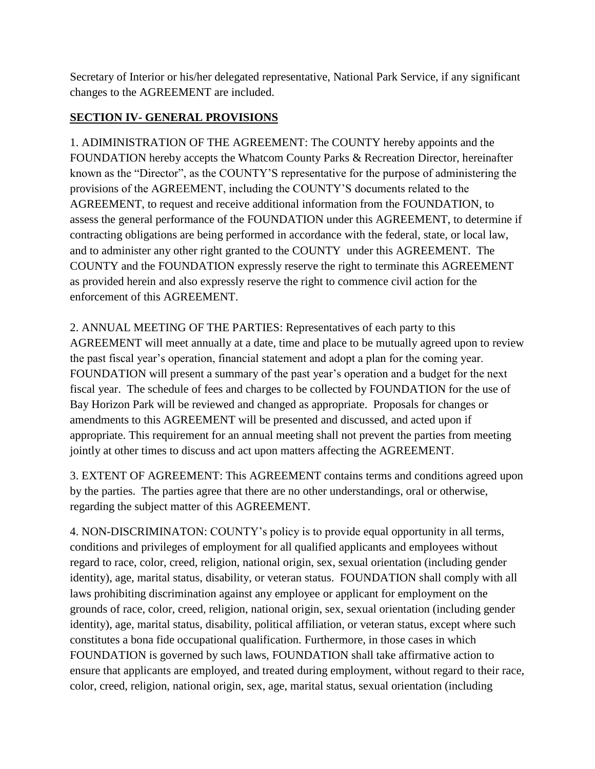Secretary of Interior or his/her delegated representative, National Park Service, if any significant changes to the AGREEMENT are included.

# **SECTION IV- GENERAL PROVISIONS**

1. ADIMINISTRATION OF THE AGREEMENT: The COUNTY hereby appoints and the FOUNDATION hereby accepts the Whatcom County Parks & Recreation Director, hereinafter known as the "Director", as the COUNTY'S representative for the purpose of administering the provisions of the AGREEMENT, including the COUNTY'S documents related to the AGREEMENT, to request and receive additional information from the FOUNDATION, to assess the general performance of the FOUNDATION under this AGREEMENT, to determine if contracting obligations are being performed in accordance with the federal, state, or local law, and to administer any other right granted to the COUNTY under this AGREEMENT. The COUNTY and the FOUNDATION expressly reserve the right to terminate this AGREEMENT as provided herein and also expressly reserve the right to commence civil action for the enforcement of this AGREEMENT.

2. ANNUAL MEETING OF THE PARTIES: Representatives of each party to this AGREEMENT will meet annually at a date, time and place to be mutually agreed upon to review the past fiscal year's operation, financial statement and adopt a plan for the coming year. FOUNDATION will present a summary of the past year's operation and a budget for the next fiscal year. The schedule of fees and charges to be collected by FOUNDATION for the use of Bay Horizon Park will be reviewed and changed as appropriate. Proposals for changes or amendments to this AGREEMENT will be presented and discussed, and acted upon if appropriate. This requirement for an annual meeting shall not prevent the parties from meeting jointly at other times to discuss and act upon matters affecting the AGREEMENT.

3. EXTENT OF AGREEMENT: This AGREEMENT contains terms and conditions agreed upon by the parties. The parties agree that there are no other understandings, oral or otherwise, regarding the subject matter of this AGREEMENT.

4. NON-DISCRIMINATON: COUNTY's policy is to provide equal opportunity in all terms, conditions and privileges of employment for all qualified applicants and employees without regard to race, color, creed, religion, national origin, sex, sexual orientation (including gender identity), age, marital status, disability, or veteran status. FOUNDATION shall comply with all laws prohibiting discrimination against any employee or applicant for employment on the grounds of race, color, creed, religion, national origin, sex, sexual orientation (including gender identity), age, marital status, disability, political affiliation, or veteran status, except where such constitutes a bona fide occupational qualification. Furthermore, in those cases in which FOUNDATION is governed by such laws, FOUNDATION shall take affirmative action to ensure that applicants are employed, and treated during employment, without regard to their race, color, creed, religion, national origin, sex, age, marital status, sexual orientation (including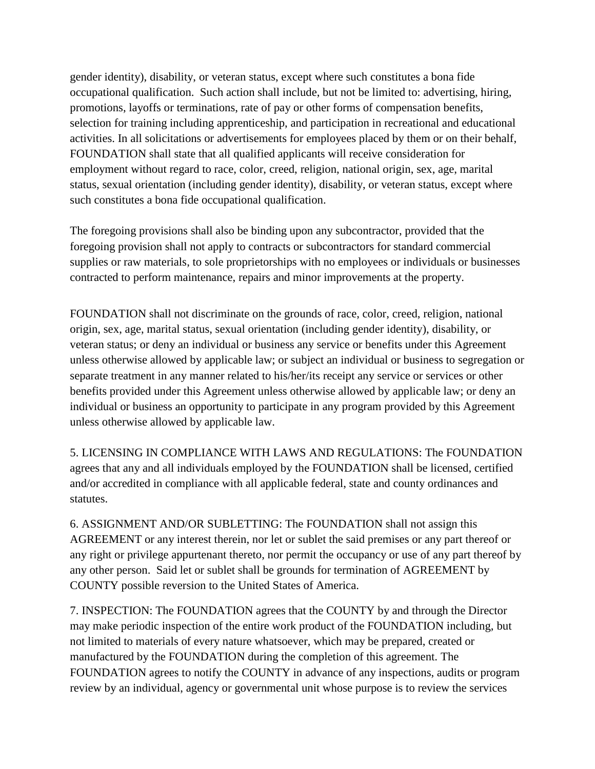gender identity), disability, or veteran status, except where such constitutes a bona fide occupational qualification. Such action shall include, but not be limited to: advertising, hiring, promotions, layoffs or terminations, rate of pay or other forms of compensation benefits, selection for training including apprenticeship, and participation in recreational and educational activities. In all solicitations or advertisements for employees placed by them or on their behalf, FOUNDATION shall state that all qualified applicants will receive consideration for employment without regard to race, color, creed, religion, national origin, sex, age, marital status, sexual orientation (including gender identity), disability, or veteran status, except where such constitutes a bona fide occupational qualification.

The foregoing provisions shall also be binding upon any subcontractor, provided that the foregoing provision shall not apply to contracts or subcontractors for standard commercial supplies or raw materials, to sole proprietorships with no employees or individuals or businesses contracted to perform maintenance, repairs and minor improvements at the property.

FOUNDATION shall not discriminate on the grounds of race, color, creed, religion, national origin, sex, age, marital status, sexual orientation (including gender identity), disability, or veteran status; or deny an individual or business any service or benefits under this Agreement unless otherwise allowed by applicable law; or subject an individual or business to segregation or separate treatment in any manner related to his/her/its receipt any service or services or other benefits provided under this Agreement unless otherwise allowed by applicable law; or deny an individual or business an opportunity to participate in any program provided by this Agreement unless otherwise allowed by applicable law.

5. LICENSING IN COMPLIANCE WITH LAWS AND REGULATIONS: The FOUNDATION agrees that any and all individuals employed by the FOUNDATION shall be licensed, certified and/or accredited in compliance with all applicable federal, state and county ordinances and statutes.

6. ASSIGNMENT AND/OR SUBLETTING: The FOUNDATION shall not assign this AGREEMENT or any interest therein, nor let or sublet the said premises or any part thereof or any right or privilege appurtenant thereto, nor permit the occupancy or use of any part thereof by any other person. Said let or sublet shall be grounds for termination of AGREEMENT by COUNTY possible reversion to the United States of America.

7. INSPECTION: The FOUNDATION agrees that the COUNTY by and through the Director may make periodic inspection of the entire work product of the FOUNDATION including, but not limited to materials of every nature whatsoever, which may be prepared, created or manufactured by the FOUNDATION during the completion of this agreement. The FOUNDATION agrees to notify the COUNTY in advance of any inspections, audits or program review by an individual, agency or governmental unit whose purpose is to review the services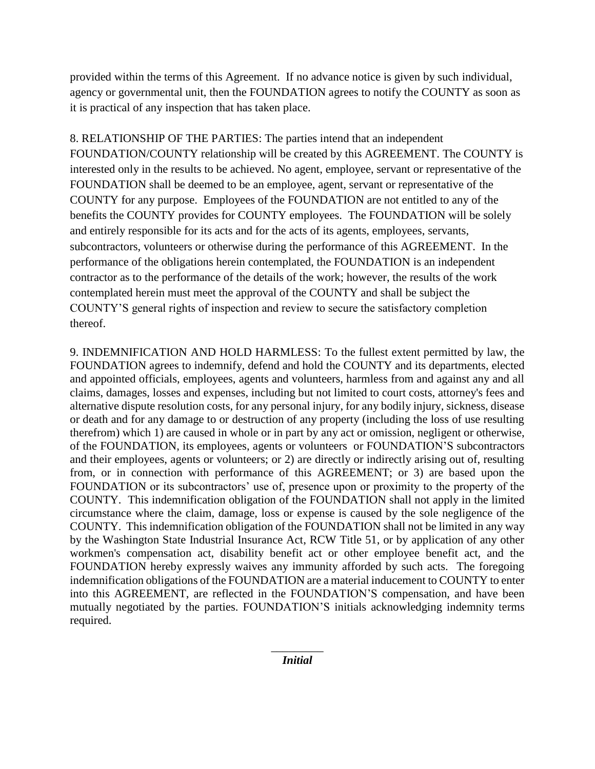provided within the terms of this Agreement. If no advance notice is given by such individual, agency or governmental unit, then the FOUNDATION agrees to notify the COUNTY as soon as it is practical of any inspection that has taken place.

8. RELATIONSHIP OF THE PARTIES: The parties intend that an independent FOUNDATION/COUNTY relationship will be created by this AGREEMENT. The COUNTY is interested only in the results to be achieved. No agent, employee, servant or representative of the FOUNDATION shall be deemed to be an employee, agent, servant or representative of the COUNTY for any purpose. Employees of the FOUNDATION are not entitled to any of the benefits the COUNTY provides for COUNTY employees. The FOUNDATION will be solely and entirely responsible for its acts and for the acts of its agents, employees, servants, subcontractors, volunteers or otherwise during the performance of this AGREEMENT. In the performance of the obligations herein contemplated, the FOUNDATION is an independent contractor as to the performance of the details of the work; however, the results of the work contemplated herein must meet the approval of the COUNTY and shall be subject the COUNTY'S general rights of inspection and review to secure the satisfactory completion thereof.

9. INDEMNIFICATION AND HOLD HARMLESS: To the fullest extent permitted by law, the FOUNDATION agrees to indemnify, defend and hold the COUNTY and its departments, elected and appointed officials, employees, agents and volunteers, harmless from and against any and all claims, damages, losses and expenses, including but not limited to court costs, attorney's fees and alternative dispute resolution costs, for any personal injury, for any bodily injury, sickness, disease or death and for any damage to or destruction of any property (including the loss of use resulting therefrom) which 1) are caused in whole or in part by any act or omission, negligent or otherwise, of the FOUNDATION, its employees, agents or volunteers or FOUNDATION'S subcontractors and their employees, agents or volunteers; or 2) are directly or indirectly arising out of, resulting from, or in connection with performance of this AGREEMENT; or 3) are based upon the FOUNDATION or its subcontractors' use of, presence upon or proximity to the property of the COUNTY. This indemnification obligation of the FOUNDATION shall not apply in the limited circumstance where the claim, damage, loss or expense is caused by the sole negligence of the COUNTY. This indemnification obligation of the FOUNDATION shall not be limited in any way by the Washington State Industrial Insurance Act, RCW Title 51, or by application of any other workmen's compensation act, disability benefit act or other employee benefit act, and the FOUNDATION hereby expressly waives any immunity afforded by such acts. The foregoing indemnification obligations of the FOUNDATION are a material inducement to COUNTY to enter into this AGREEMENT, are reflected in the FOUNDATION'S compensation, and have been mutually negotiated by the parties. FOUNDATION'S initials acknowledging indemnity terms required.

> *\_\_\_\_\_\_\_\_\_ Initial*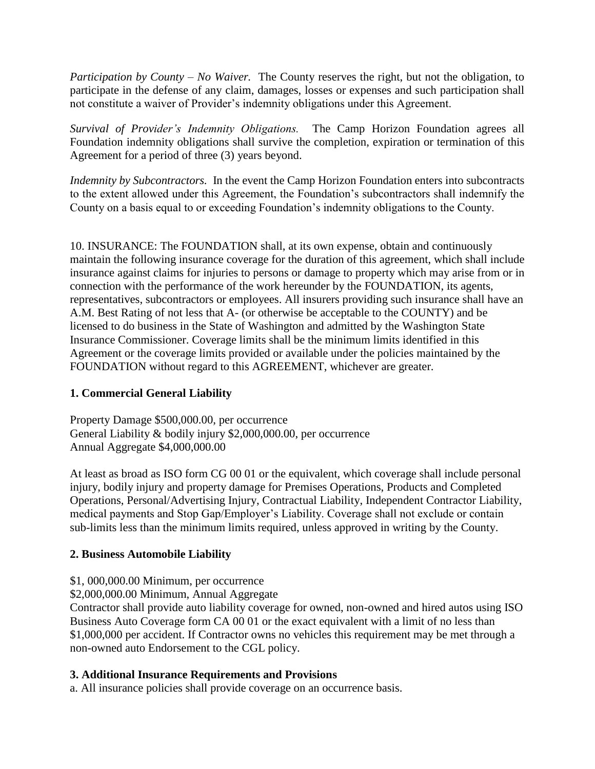*Participation by County – No Waiver.* The County reserves the right, but not the obligation, to participate in the defense of any claim, damages, losses or expenses and such participation shall not constitute a waiver of Provider's indemnity obligations under this Agreement.

*Survival of Provider's Indemnity Obligations.* The Camp Horizon Foundation agrees all Foundation indemnity obligations shall survive the completion, expiration or termination of this Agreement for a period of three (3) years beyond.

*Indemnity by Subcontractors.* In the event the Camp Horizon Foundation enters into subcontracts to the extent allowed under this Agreement, the Foundation's subcontractors shall indemnify the County on a basis equal to or exceeding Foundation's indemnity obligations to the County.

10. INSURANCE: The FOUNDATION shall, at its own expense, obtain and continuously maintain the following insurance coverage for the duration of this agreement, which shall include insurance against claims for injuries to persons or damage to property which may arise from or in connection with the performance of the work hereunder by the FOUNDATION, its agents, representatives, subcontractors or employees. All insurers providing such insurance shall have an A.M. Best Rating of not less that A- (or otherwise be acceptable to the COUNTY) and be licensed to do business in the State of Washington and admitted by the Washington State Insurance Commissioner. Coverage limits shall be the minimum limits identified in this Agreement or the coverage limits provided or available under the policies maintained by the FOUNDATION without regard to this AGREEMENT, whichever are greater.

### **1. Commercial General Liability**

Property Damage \$500,000.00, per occurrence General Liability & bodily injury \$2,000,000.00, per occurrence Annual Aggregate \$4,000,000.00

At least as broad as ISO form CG 00 01 or the equivalent, which coverage shall include personal injury, bodily injury and property damage for Premises Operations, Products and Completed Operations, Personal/Advertising Injury, Contractual Liability, Independent Contractor Liability, medical payments and Stop Gap/Employer's Liability. Coverage shall not exclude or contain sub-limits less than the minimum limits required, unless approved in writing by the County.

#### **2. Business Automobile Liability**

### \$1, 000,000.00 Minimum, per occurrence

\$2,000,000.00 Minimum, Annual Aggregate

Contractor shall provide auto liability coverage for owned, non-owned and hired autos using ISO Business Auto Coverage form CA 00 01 or the exact equivalent with a limit of no less than \$1,000,000 per accident. If Contractor owns no vehicles this requirement may be met through a non-owned auto Endorsement to the CGL policy.

#### **3. Additional Insurance Requirements and Provisions**

a. All insurance policies shall provide coverage on an occurrence basis.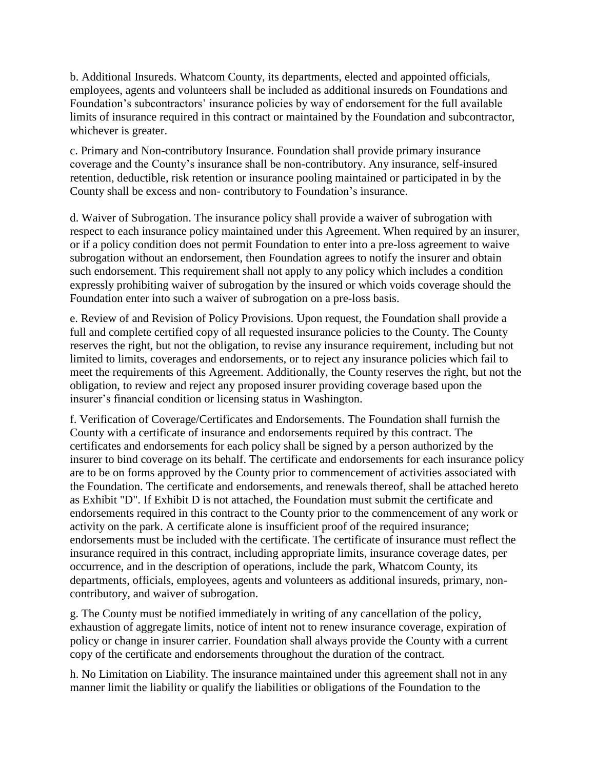b. Additional Insureds. Whatcom County, its departments, elected and appointed officials, employees, agents and volunteers shall be included as additional insureds on Foundations and Foundation's subcontractors' insurance policies by way of endorsement for the full available limits of insurance required in this contract or maintained by the Foundation and subcontractor, whichever is greater.

c. Primary and Non-contributory Insurance. Foundation shall provide primary insurance coverage and the County's insurance shall be non-contributory. Any insurance, self-insured retention, deductible, risk retention or insurance pooling maintained or participated in by the County shall be excess and non- contributory to Foundation's insurance.

d. Waiver of Subrogation. The insurance policy shall provide a waiver of subrogation with respect to each insurance policy maintained under this Agreement. When required by an insurer, or if a policy condition does not permit Foundation to enter into a pre-loss agreement to waive subrogation without an endorsement, then Foundation agrees to notify the insurer and obtain such endorsement. This requirement shall not apply to any policy which includes a condition expressly prohibiting waiver of subrogation by the insured or which voids coverage should the Foundation enter into such a waiver of subrogation on a pre-loss basis.

e. Review of and Revision of Policy Provisions. Upon request, the Foundation shall provide a full and complete certified copy of all requested insurance policies to the County. The County reserves the right, but not the obligation, to revise any insurance requirement, including but not limited to limits, coverages and endorsements, or to reject any insurance policies which fail to meet the requirements of this Agreement. Additionally, the County reserves the right, but not the obligation, to review and reject any proposed insurer providing coverage based upon the insurer's financial condition or licensing status in Washington.

f. Verification of Coverage/Certificates and Endorsements. The Foundation shall furnish the County with a certificate of insurance and endorsements required by this contract. The certificates and endorsements for each policy shall be signed by a person authorized by the insurer to bind coverage on its behalf. The certificate and endorsements for each insurance policy are to be on forms approved by the County prior to commencement of activities associated with the Foundation. The certificate and endorsements, and renewals thereof, shall be attached hereto as Exhibit "D". If Exhibit D is not attached, the Foundation must submit the certificate and endorsements required in this contract to the County prior to the commencement of any work or activity on the park. A certificate alone is insufficient proof of the required insurance; endorsements must be included with the certificate. The certificate of insurance must reflect the insurance required in this contract, including appropriate limits, insurance coverage dates, per occurrence, and in the description of operations, include the park, Whatcom County, its departments, officials, employees, agents and volunteers as additional insureds, primary, noncontributory, and waiver of subrogation.

g. The County must be notified immediately in writing of any cancellation of the policy, exhaustion of aggregate limits, notice of intent not to renew insurance coverage, expiration of policy or change in insurer carrier. Foundation shall always provide the County with a current copy of the certificate and endorsements throughout the duration of the contract.

h. No Limitation on Liability. The insurance maintained under this agreement shall not in any manner limit the liability or qualify the liabilities or obligations of the Foundation to the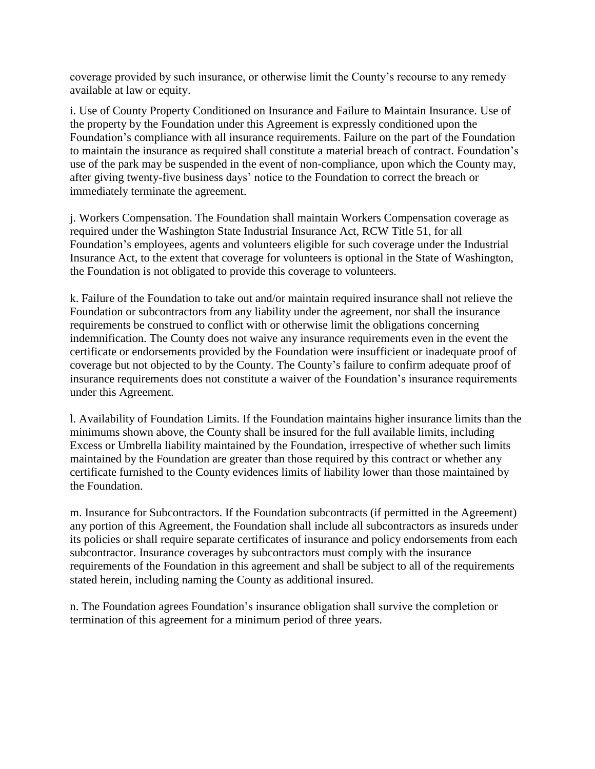coverage provided by such insurance, or otherwise limit the County's recourse to any remedy available at law or equity.

i. Use of County Property Conditioned on Insurance and Failure to Maintain Insurance. Use of the property by the Foundation under this Agreement is expressly conditioned upon the Foundation's compliance with all insurance requirements. Failure on the part of the Foundation to maintain the insurance as required shall constitute a material breach of contract. Foundation's use of the park may be suspended in the event of non-compliance, upon which the County may, after giving twenty-five business days' notice to the Foundation to correct the breach or immediately terminate the agreement.

j. Workers Compensation. The Foundation shall maintain Workers Compensation coverage as required under the Washington State Industrial Insurance Act, RCW Title 51, for all Foundation's employees, agents and volunteers eligible for such coverage under the Industrial Insurance Act, to the extent that coverage for volunteers is optional in the State of Washington, the Foundation is not obligated to provide this coverage to volunteers.

k. Failure of the Foundation to take out and/or maintain required insurance shall not relieve the Foundation or subcontractors from any liability under the agreement, nor shall the insurance requirements be construed to conflict with or otherwise limit the obligations concerning indemnification. The County does not waive any insurance requirements even in the event the certificate or endorsements provided by the Foundation were insufficient or inadequate proof of coverage but not objected to by the County. The County's failure to confirm adequate proof of insurance requirements does not constitute a waiver of the Foundation's insurance requirements under this Agreement.

l. Availability of Foundation Limits. If the Foundation maintains higher insurance limits than the minimums shown above, the County shall be insured for the full available limits, including Excess or Umbrella liability maintained by the Foundation, irrespective of whether such limits maintained by the Foundation are greater than those required by this contract or whether any certificate furnished to the County evidences limits of liability lower than those maintained by the Foundation.

m. Insurance for Subcontractors. If the Foundation subcontracts (if permitted in the Agreement) any portion of this Agreement, the Foundation shall include all subcontractors as insureds under its policies or shall require separate certificates of insurance and policy endorsements from each subcontractor. Insurance coverages by subcontractors must comply with the insurance requirements of the Foundation in this agreement and shall be subject to all of the requirements stated herein, including naming the County as additional insured.

n. The Foundation agrees Foundation's insurance obligation shall survive the completion or termination of this agreement for a minimum period of three years.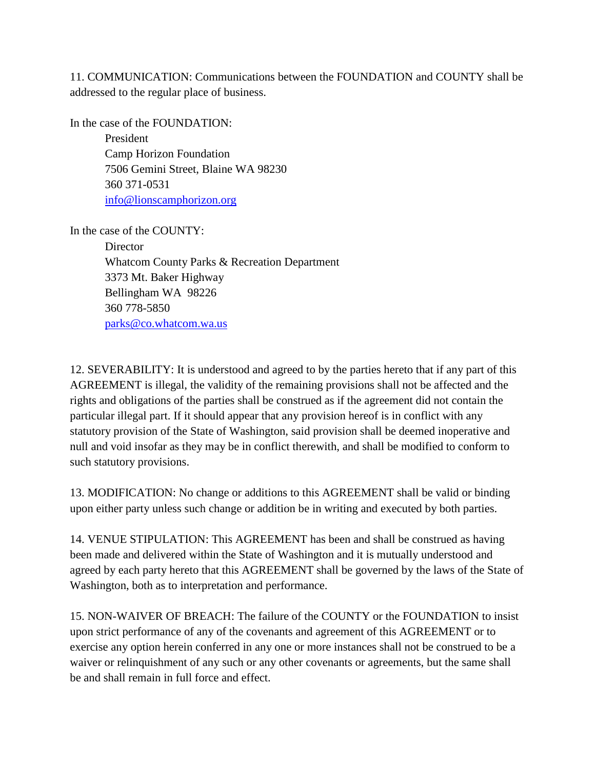11. COMMUNICATION: Communications between the FOUNDATION and COUNTY shall be addressed to the regular place of business.

In the case of the FOUNDATION: President Camp Horizon Foundation 7506 Gemini Street, Blaine WA 98230 360 371-0531 [info@lionscamphorizon.org](mailto:info@lionscamphorizon.org)

In the case of the COUNTY:

**Director** Whatcom County Parks & Recreation Department 3373 Mt. Baker Highway Bellingham WA 98226 360 778-5850 [parks@co.whatcom.wa.us](mailto:parks@co.whatcom.wa.us)

12. SEVERABILITY: It is understood and agreed to by the parties hereto that if any part of this AGREEMENT is illegal, the validity of the remaining provisions shall not be affected and the rights and obligations of the parties shall be construed as if the agreement did not contain the particular illegal part. If it should appear that any provision hereof is in conflict with any statutory provision of the State of Washington, said provision shall be deemed inoperative and null and void insofar as they may be in conflict therewith, and shall be modified to conform to such statutory provisions.

13. MODIFICATION: No change or additions to this AGREEMENT shall be valid or binding upon either party unless such change or addition be in writing and executed by both parties.

14. VENUE STIPULATION: This AGREEMENT has been and shall be construed as having been made and delivered within the State of Washington and it is mutually understood and agreed by each party hereto that this AGREEMENT shall be governed by the laws of the State of Washington, both as to interpretation and performance.

15. NON-WAIVER OF BREACH: The failure of the COUNTY or the FOUNDATION to insist upon strict performance of any of the covenants and agreement of this AGREEMENT or to exercise any option herein conferred in any one or more instances shall not be construed to be a waiver or relinquishment of any such or any other covenants or agreements, but the same shall be and shall remain in full force and effect.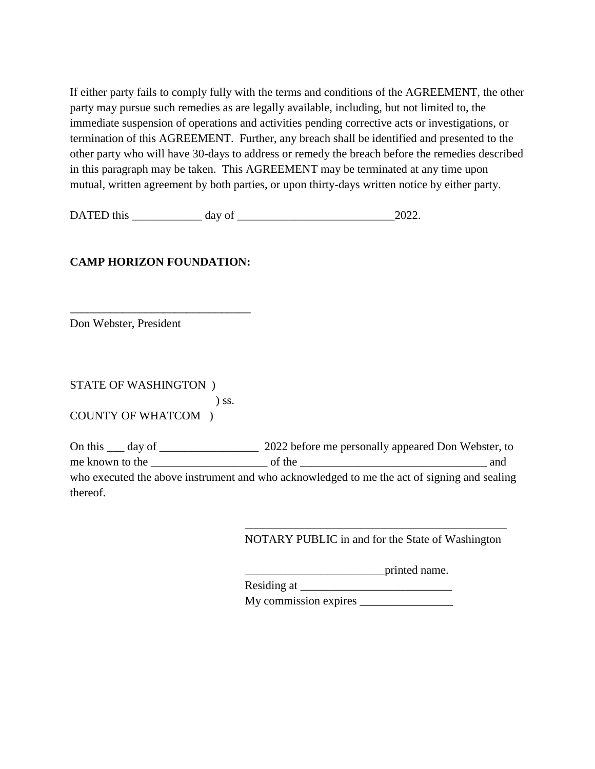If either party fails to comply fully with the terms and conditions of the AGREEMENT, the other party may pursue such remedies as are legally available, including, but not limited to, the immediate suspension of operations and activities pending corrective acts or investigations, or termination of this AGREEMENT. Further, any breach shall be identified and presented to the other party who will have 30-days to address or remedy the breach before the remedies described in this paragraph may be taken. This AGREEMENT may be terminated at any time upon mutual, written agreement by both parties, or upon thirty-days written notice by either party.

DATED this  $\frac{1}{2022}$ .

### **CAMP HORIZON FOUNDATION:**

**\_\_\_\_\_\_\_\_\_\_\_\_\_\_\_\_\_\_\_\_\_\_\_\_\_\_\_\_\_\_\_**

Don Webster, President

STATE OF WASHINGTON ) ) ss. COUNTY OF WHATCOM )

On this \_\_\_ day of \_\_\_\_\_\_\_\_\_\_\_\_\_\_\_\_\_\_\_\_ 2022 before me personally appeared Don Webster, to me known to the \_\_\_\_\_\_\_\_\_\_\_\_\_\_\_\_\_\_\_\_ of the \_\_\_\_\_\_\_\_\_\_\_\_\_\_\_\_\_\_\_\_\_\_\_\_\_\_\_\_\_\_\_\_ and who executed the above instrument and who acknowledged to me the act of signing and sealing thereof.

> \_\_\_\_\_\_\_\_\_\_\_\_\_\_\_\_\_\_\_\_\_\_\_\_\_\_\_\_\_\_\_\_\_\_\_\_\_\_\_\_\_\_\_\_\_ NOTARY PUBLIC in and for the State of Washington

> > \_\_\_\_\_\_\_\_\_\_\_\_\_\_\_\_\_\_\_\_\_\_\_\_printed name.

Residing at \_\_\_\_\_\_\_\_\_\_\_\_\_\_\_\_\_\_\_\_\_\_\_\_\_\_

My commission expires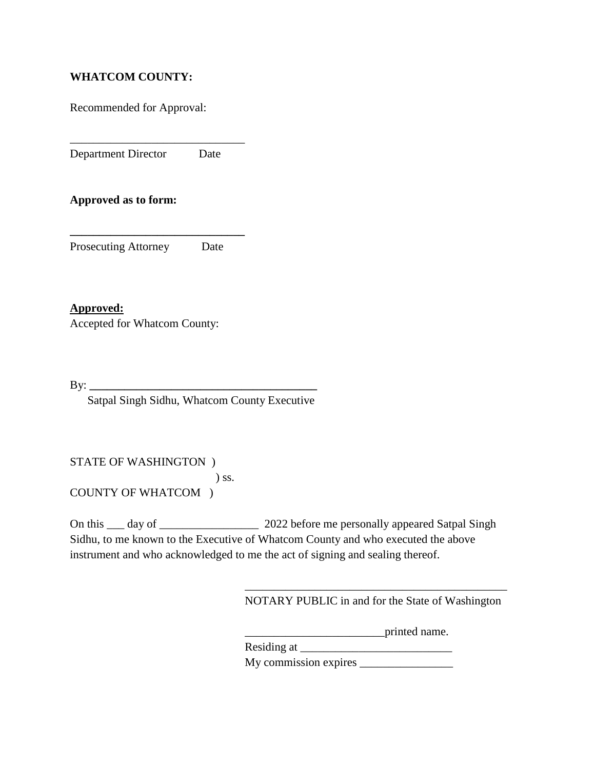### **WHATCOM COUNTY:**

Recommended for Approval:

Department Director Date

\_\_\_\_\_\_\_\_\_\_\_\_\_\_\_\_\_\_\_\_\_\_\_\_\_\_\_\_\_\_

**Approved as to form:**

Prosecuting Attorney Date

**\_\_\_\_\_\_\_\_\_\_\_\_\_\_\_\_\_\_\_\_\_\_\_\_\_\_\_\_\_\_**

**Approved:** Accepted for Whatcom County:

By: **\_\_\_\_\_\_\_\_\_\_\_\_\_\_\_\_\_\_\_\_\_\_\_\_\_\_\_\_\_\_\_\_\_\_\_\_\_\_\_**

Satpal Singh Sidhu, Whatcom County Executive

STATE OF WASHINGTON ) ) ss.

COUNTY OF WHATCOM )

On this \_\_\_ day of \_\_\_\_\_\_\_\_\_\_\_\_\_\_\_\_\_\_\_\_\_\_\_ 2022 before me personally appeared Satpal Singh Sidhu, to me known to the Executive of Whatcom County and who executed the above instrument and who acknowledged to me the act of signing and sealing thereof.

> \_\_\_\_\_\_\_\_\_\_\_\_\_\_\_\_\_\_\_\_\_\_\_\_\_\_\_\_\_\_\_\_\_\_\_\_\_\_\_\_\_\_\_\_\_ NOTARY PUBLIC in and for the State of Washington

> > \_\_\_\_\_\_\_\_\_\_\_\_\_\_\_\_\_\_\_\_\_\_\_\_printed name.

Residing at

My commission expires \_\_\_\_\_\_\_\_\_\_\_\_\_\_\_\_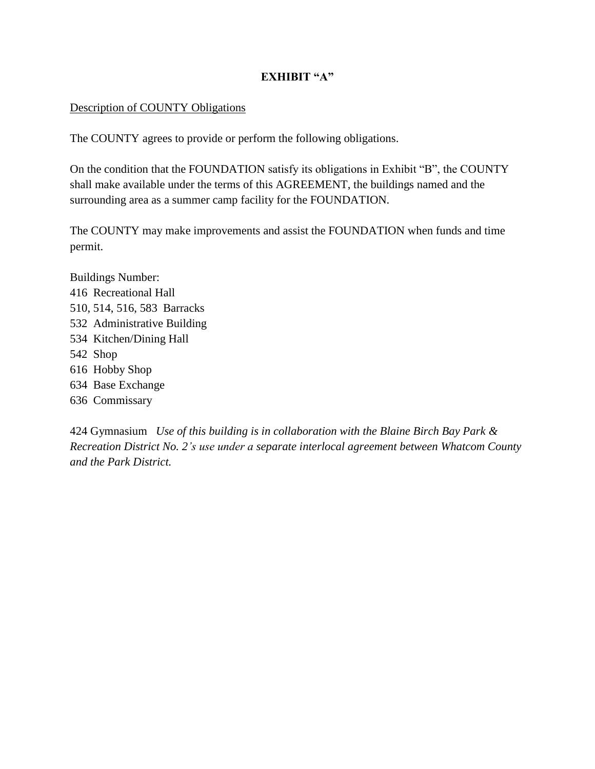### **EXHIBIT "A"**

#### Description of COUNTY Obligations

The COUNTY agrees to provide or perform the following obligations.

On the condition that the FOUNDATION satisfy its obligations in Exhibit "B", the COUNTY shall make available under the terms of this AGREEMENT, the buildings named and the surrounding area as a summer camp facility for the FOUNDATION.

The COUNTY may make improvements and assist the FOUNDATION when funds and time permit.

Buildings Number: 416 Recreational Hall 510, 514, 516, 583 Barracks 532 Administrative Building 534 Kitchen/Dining Hall 542 Shop 616 Hobby Shop 634 Base Exchange 636 Commissary

424 Gymnasium *Use of this building is in collaboration with the Blaine Birch Bay Park & Recreation District No. 2's use under a separate interlocal agreement between Whatcom County and the Park District.*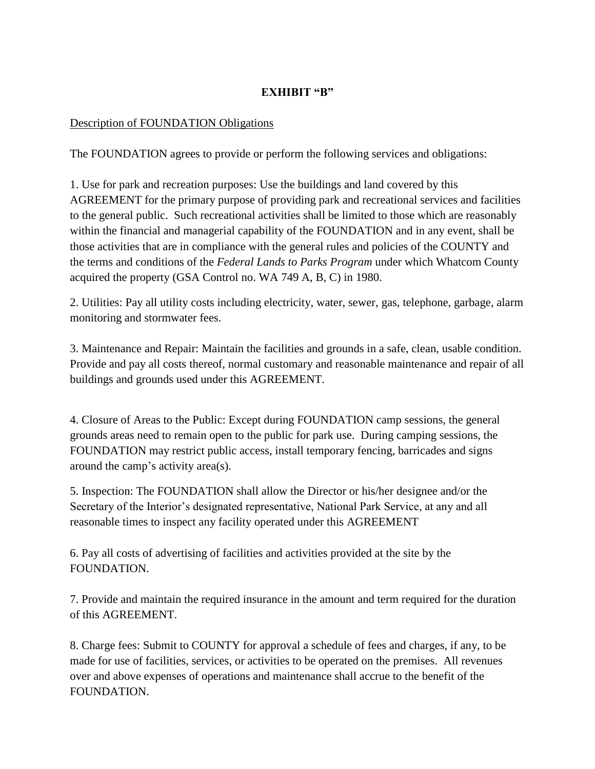### **EXHIBIT "B"**

#### Description of FOUNDATION Obligations

The FOUNDATION agrees to provide or perform the following services and obligations:

1. Use for park and recreation purposes: Use the buildings and land covered by this AGREEMENT for the primary purpose of providing park and recreational services and facilities to the general public. Such recreational activities shall be limited to those which are reasonably within the financial and managerial capability of the FOUNDATION and in any event, shall be those activities that are in compliance with the general rules and policies of the COUNTY and the terms and conditions of the *Federal Lands to Parks Program* under which Whatcom County acquired the property (GSA Control no. WA 749 A, B, C) in 1980.

2. Utilities: Pay all utility costs including electricity, water, sewer, gas, telephone, garbage, alarm monitoring and stormwater fees.

3. Maintenance and Repair: Maintain the facilities and grounds in a safe, clean, usable condition. Provide and pay all costs thereof, normal customary and reasonable maintenance and repair of all buildings and grounds used under this AGREEMENT.

4. Closure of Areas to the Public: Except during FOUNDATION camp sessions, the general grounds areas need to remain open to the public for park use. During camping sessions, the FOUNDATION may restrict public access, install temporary fencing, barricades and signs around the camp's activity area(s).

5. Inspection: The FOUNDATION shall allow the Director or his/her designee and/or the Secretary of the Interior's designated representative, National Park Service, at any and all reasonable times to inspect any facility operated under this AGREEMENT

6. Pay all costs of advertising of facilities and activities provided at the site by the FOUNDATION.

7. Provide and maintain the required insurance in the amount and term required for the duration of this AGREEMENT.

8. Charge fees: Submit to COUNTY for approval a schedule of fees and charges, if any, to be made for use of facilities, services, or activities to be operated on the premises. All revenues over and above expenses of operations and maintenance shall accrue to the benefit of the FOUNDATION.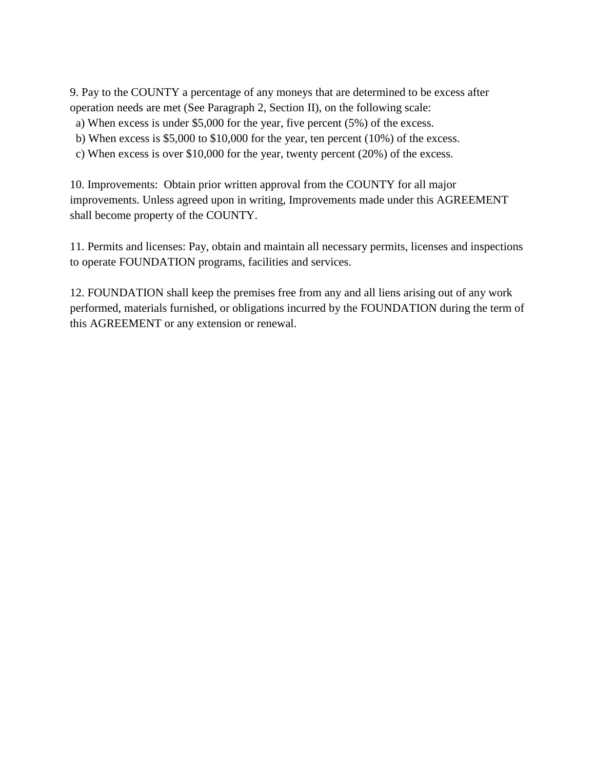9. Pay to the COUNTY a percentage of any moneys that are determined to be excess after operation needs are met (See Paragraph 2, Section II), on the following scale:

- a) When excess is under \$5,000 for the year, five percent (5%) of the excess.
- b) When excess is \$5,000 to \$10,000 for the year, ten percent (10%) of the excess.
- c) When excess is over \$10,000 for the year, twenty percent (20%) of the excess.

10. Improvements: Obtain prior written approval from the COUNTY for all major improvements. Unless agreed upon in writing, Improvements made under this AGREEMENT shall become property of the COUNTY.

11. Permits and licenses: Pay, obtain and maintain all necessary permits, licenses and inspections to operate FOUNDATION programs, facilities and services.

12. FOUNDATION shall keep the premises free from any and all liens arising out of any work performed, materials furnished, or obligations incurred by the FOUNDATION during the term of this AGREEMENT or any extension or renewal.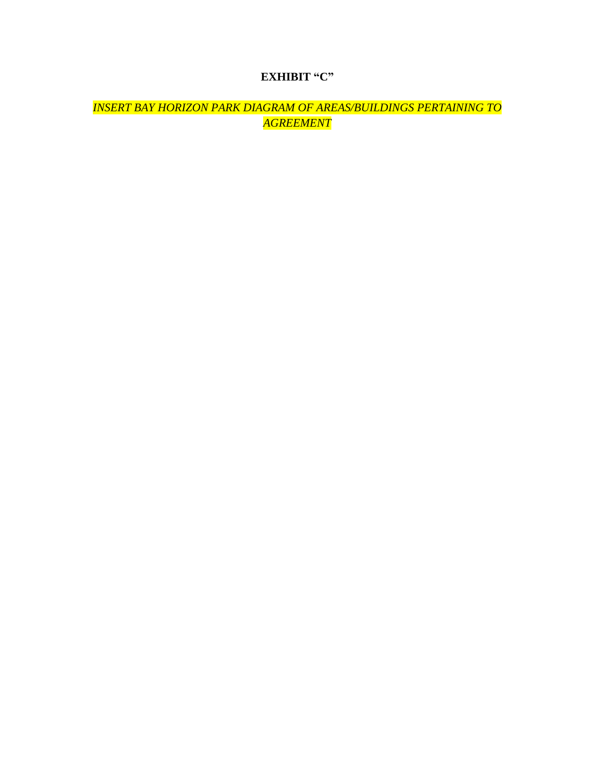# **EXHIBIT "C"**

*INSERT BAY HORIZON PARK DIAGRAM OF AREAS/BUILDINGS PERTAINING TO AGREEMENT*